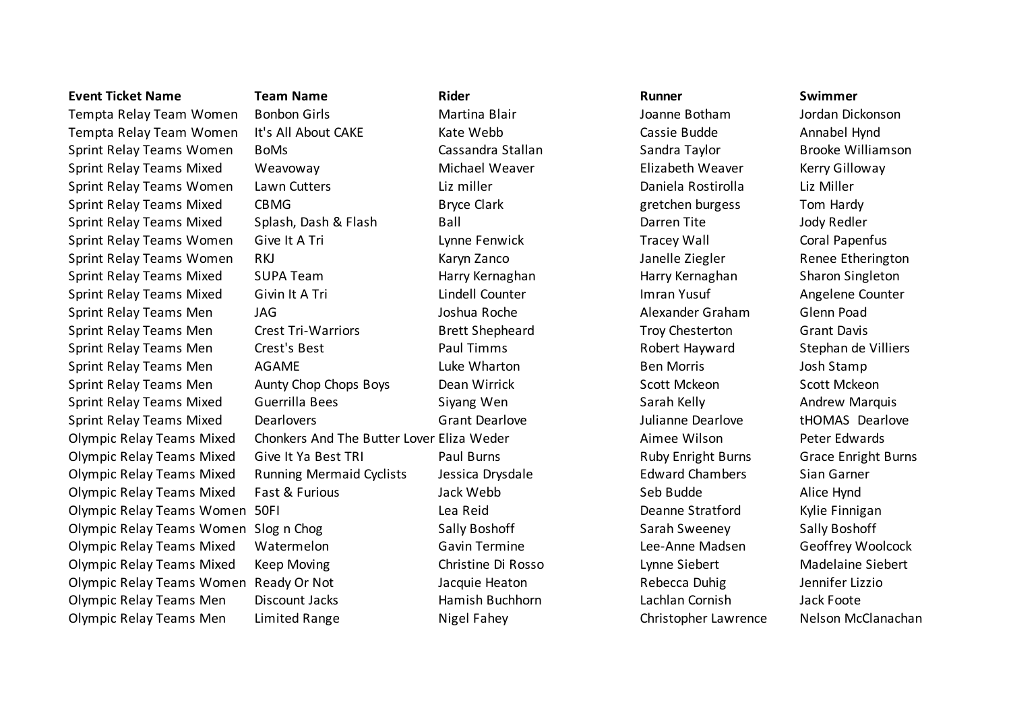Tempta Relay Team Women Bonbon Girls Martina Blair Joanne Botham Jordan Dickonson Tempta Relay Team Women It's All About CAKE Kate Webb Cassie Budde Annabel Hynd Sprint Relay Teams Women BoMs Cassandra Stallan Stallan Sandra Taylor Brooke Williamson Sprint Relay Teams Mixed Weavoway Michael Weaver Elizabeth Weaver Kerry Gilloway Sprint Relay Teams Women Lawn Cutters **Liz miller** Liz miller **Liz Daniela Rostirolla** Liz Miller Sprint Relay Teams Mixed CBMG Bryce Clark Bryce Clark gretchen burgess Tom Hardy Sprint Relay Teams Mixed Splash, Dash & Flash Ball Ball Barren Tite Jody Redler Sprint Relay Teams Women Give It A Tri **Example 20 Fenwick** Tracey Wall Coral Papenfus Sprint Relay Teams Women RKJ Karyn Zanco Janelle Ziegler Renee Etherington Sprint Relay Teams Mixed SUPA Team **Harry Kernaghan** Harry Kernaghan Harry Kernaghan Sharon Singleton Sprint Relay Teams Mixed Givin It A Tri **Lindell Counter** Imran Yusuf Angelene Counter Angelene Counter Sprint Relay Teams Men JAG Joshua Roche and Alexander Graham Glenn Poad Sprint Relay Teams Men Crest Tri-Warriors Brett Shepheard Troy Chesterton Grant Davis Sprint Relay Teams Men Crest's Best **Paul Timms** Paul Timms Robert Hayward Stephan de Villiers Sprint Relay Teams Men and AGAME Luke Wharton and Ben Morris and Josh Stamp Sprint Relay Teams Men Aunty Chop Chops Boys Dean Wirrick Scott Mckeon Scott Mckeon Scott Mckeon Sprint Relay Teams Mixed Guerrilla Bees Siyang Wen Sarah Kelly Sarah Kelly Andrew Marquis Sprint Relay Teams Mixed Dearlovers Grant Dearlove Julianne Dearlove tHOMAS Dearlove Olympic Relay Teams Mixed Chonkers And The Butter Lover Eliza Weder **Aimee Wilson** Peter Edwards Olympic Relay Teams Mixed Give It Ya Best TRI Paul Burns Paul Burns Ruby Enright Burns Grace Enright Burns Grace Enright Burns Olympic Relay Teams Mixed Running Mermaid Cyclists Jessica Drysdale **Subset Chambers** Sian Garner Olympic Relay Teams Mixed Fast & Furious Jack Webb Seb Budde Seb Budde Alice Hynd Olympic Relay Teams Women 50FI Lea Reid Deanne Stratford Kylie Finnigan Olympic Relay Teams Women Slog n Chog Sally Boshoff Sally Boshoff Sarah Sweeney Sally Boshoff Sally Boshoff Sa Olympic Relay Teams Mixed Watermelon Gavin Termine Lee-Anne Madsen Geoffrey Woolcock Olympic Relay Teams Mixed Keep Moving Christine Di Rosso Lynne Siebert Madelaine Siebert Olympic Relay Teams Women Ready Or Not Jacquie Heaton and Rebecca Duhig Jennifer Lizzio Olympic Relay Teams Men Discount Jacks Hamish Buchhorn Lachlan Cornish Jack Foote Olympic Relay Teams Men Limited Range Nigel Fahey Nigel Fahey Christopher Lawrence Nelson McClanachan

## **Event Ticket Name Team Name Rider Runner Swimmer**